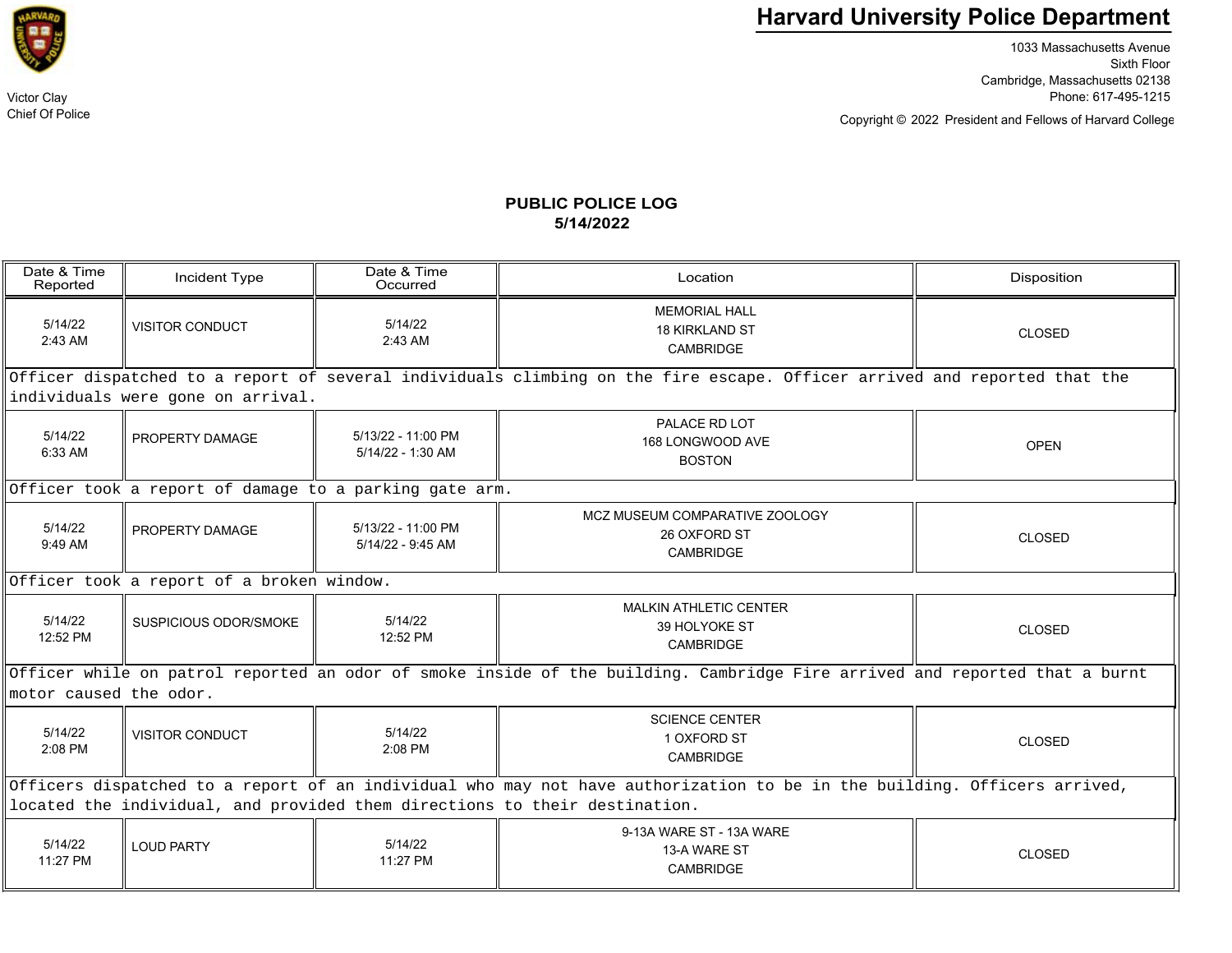

1033 Massachusetts Avenue Sixth Floor Cambridge, Massachusetts 02138 Victor Clay Phone: 617-495-1215

Copyright © President and Fellows of Harvard College 2022

## **PUBLIC POLICE LOG5/14/2022**

| Date & Time<br>Reported                                                                                                                              | Incident Type          | Date & Time<br>Occurred                   | Location                                                           | Disposition   |  |  |  |  |
|------------------------------------------------------------------------------------------------------------------------------------------------------|------------------------|-------------------------------------------|--------------------------------------------------------------------|---------------|--|--|--|--|
| 5/14/22<br>$2:43$ AM                                                                                                                                 | <b>VISITOR CONDUCT</b> | 5/14/22<br>2:43 AM                        | <b>MEMORIAL HALL</b><br><b>18 KIRKLAND ST</b><br>CAMBRIDGE         | CLOSED        |  |  |  |  |
| Officer dispatched to a report of several individuals climbing on the fire escape. Officer arrived and reported that the                             |                        |                                           |                                                                    |               |  |  |  |  |
| individuals were gone on arrival.                                                                                                                    |                        |                                           |                                                                    |               |  |  |  |  |
| 5/14/22<br>6:33 AM                                                                                                                                   | PROPERTY DAMAGE        | 5/13/22 - 11:00 PM<br>$5/14/22 - 1:30$ AM | PALACE RD LOT<br>168 LONGWOOD AVE<br><b>BOSTON</b>                 | <b>OPEN</b>   |  |  |  |  |
| Officer took a report of damage to a parking gate arm.                                                                                               |                        |                                           |                                                                    |               |  |  |  |  |
| 5/14/22<br>9:49 AM                                                                                                                                   | PROPERTY DAMAGE        | 5/13/22 - 11:00 PM<br>5/14/22 - 9:45 AM   | MCZ MUSEUM COMPARATIVE ZOOLOGY<br>26 OXFORD ST<br><b>CAMBRIDGE</b> | <b>CLOSED</b> |  |  |  |  |
| Officer took a report of a broken window.                                                                                                            |                        |                                           |                                                                    |               |  |  |  |  |
| 5/14/22<br>12:52 PM                                                                                                                                  | SUSPICIOUS ODOR/SMOKE  | 5/14/22<br>12:52 PM                       | <b>MALKIN ATHLETIC CENTER</b><br>39 HOLYOKE ST<br><b>CAMBRIDGE</b> | <b>CLOSED</b> |  |  |  |  |
| Officer while on patrol reported an odor of smoke inside of the building. Cambridge Fire arrived and reported that a burnt<br>motor caused the odor. |                        |                                           |                                                                    |               |  |  |  |  |
| 5/14/22<br>2:08 PM                                                                                                                                   | <b>VISITOR CONDUCT</b> | 5/14/22<br>2:08 PM                        | <b>SCIENCE CENTER</b><br>1 OXFORD ST<br><b>CAMBRIDGE</b>           | <b>CLOSED</b> |  |  |  |  |
| Officers dispatched to a report of an individual who may not have authorization to be in the building. Officers arrived,                             |                        |                                           |                                                                    |               |  |  |  |  |
| located the individual, and provided them directions to their destination.                                                                           |                        |                                           |                                                                    |               |  |  |  |  |
| 5/14/22<br>11:27 PM                                                                                                                                  | <b>LOUD PARTY</b>      | 5/14/22<br>11:27 PM                       | 9-13A WARE ST - 13A WARE<br>13-A WARE ST<br><b>CAMBRIDGE</b>       | <b>CLOSED</b> |  |  |  |  |



Chief Of Police